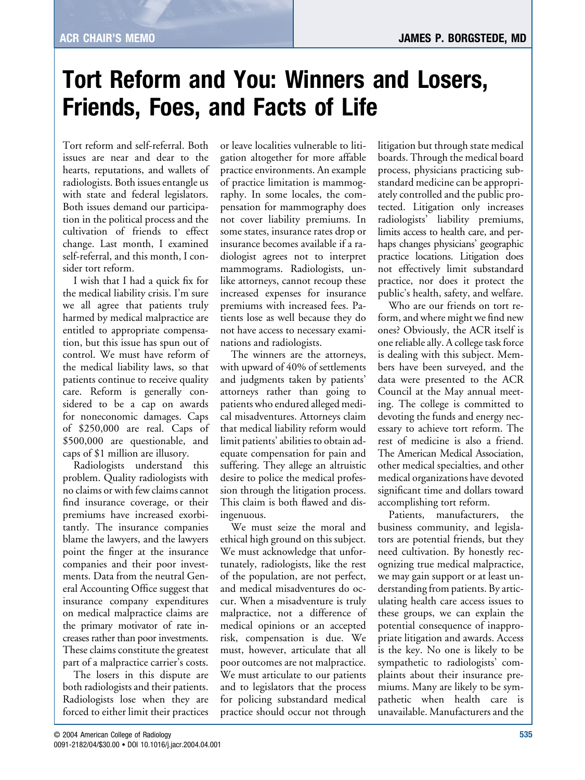## **Tort Reform and You: Winners and Losers, Friends, Foes, and Facts of Life**

Tort reform and self-referral. Both issues are near and dear to the hearts, reputations, and wallets of radiologists. Both issues entangle us with state and federal legislators. Both issues demand our participation in the political process and the cultivation of friends to effect change. Last month, I examined self-referral, and this month, I consider tort reform.

I wish that I had a quick fix for the medical liability crisis. I'm sure we all agree that patients truly harmed by medical malpractice are entitled to appropriate compensation, but this issue has spun out of control. We must have reform of the medical liability laws, so that patients continue to receive quality care. Reform is generally considered to be a cap on awards for noneconomic damages. Caps of \$250,000 are real. Caps of \$500,000 are questionable, and caps of \$1 million are illusory.

Radiologists understand this problem. Quality radiologists with no claims or with few claims cannot find insurance coverage, or their premiums have increased exorbitantly. The insurance companies blame the lawyers, and the lawyers point the finger at the insurance companies and their poor investments. Data from the neutral General Accounting Office suggest that insurance company expenditures on medical malpractice claims are the primary motivator of rate increases rather than poor investments. These claims constitute the greatest part of a malpractice carrier's costs.

The losers in this dispute are both radiologists and their patients. Radiologists lose when they are forced to either limit their practices or leave localities vulnerable to litigation altogether for more affable practice environments. An example of practice limitation is mammography. In some locales, the compensation for mammography does not cover liability premiums. In some states, insurance rates drop or insurance becomes available if a radiologist agrees not to interpret mammograms. Radiologists, unlike attorneys, cannot recoup these increased expenses for insurance premiums with increased fees. Patients lose as well because they do not have access to necessary examinations and radiologists.

The winners are the attorneys, with upward of 40% of settlements and judgments taken by patients' attorneys rather than going to patients who endured alleged medical misadventures. Attorneys claim that medical liability reform would limit patients' abilities to obtain adequate compensation for pain and suffering. They allege an altruistic desire to police the medical profession through the litigation process. This claim is both flawed and disingenuous.

We must seize the moral and ethical high ground on this subject. We must acknowledge that unfortunately, radiologists, like the rest of the population, are not perfect, and medical misadventures do occur. When a misadventure is truly malpractice, not a difference of medical opinions or an accepted risk, compensation is due. We must, however, articulate that all poor outcomes are not malpractice. We must articulate to our patients and to legislators that the process for policing substandard medical practice should occur not through

litigation but through state medical boards. Through the medical board process, physicians practicing substandard medicine can be appropriately controlled and the public protected. Litigation only increases radiologists' liability premiums, limits access to health care, and perhaps changes physicians' geographic practice locations. Litigation does not effectively limit substandard practice, nor does it protect the public's health, safety, and welfare.

Who are our friends on tort reform, and where might we find new ones? Obviously, the ACR itself is one reliable ally. A college task force is dealing with this subject. Members have been surveyed, and the data were presented to the ACR Council at the May annual meeting. The college is committed to devoting the funds and energy necessary to achieve tort reform. The rest of medicine is also a friend. The American Medical Association, other medical specialties, and other medical organizations have devoted significant time and dollars toward accomplishing tort reform.

Patients, manufacturers, the business community, and legislators are potential friends, but they need cultivation. By honestly recognizing true medical malpractice, we may gain support or at least understanding from patients. By articulating health care access issues to these groups, we can explain the potential consequence of inappropriate litigation and awards. Access is the key. No one is likely to be sympathetic to radiologists' complaints about their insurance premiums. Many are likely to be sympathetic when health care is unavailable. Manufacturers and the